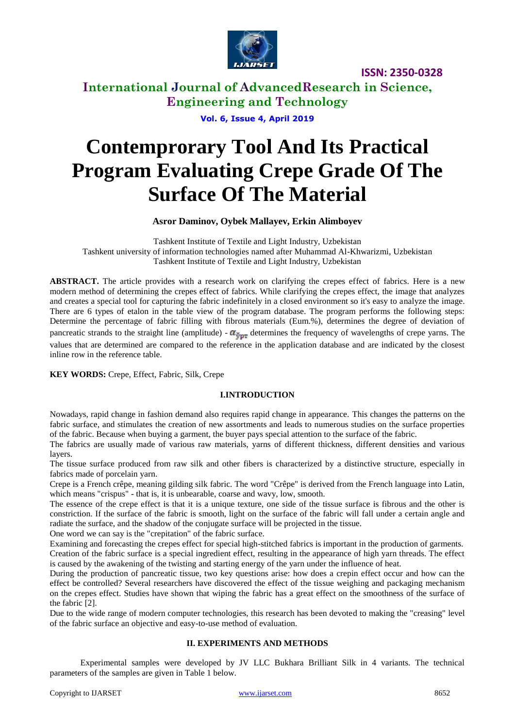

**International Journal of AdvancedResearch in Science, Engineering and Technology**

**Vol. 6, Issue 4, April 2019**

# **Contemprorary Tool And Its Practical Program Evaluating Crepe Grade Of The Surface Of The Material**

### **Asror Daminov, Oybek Mallayev, Erkin Alimboyev**

Tashkent Institute of Textile and Light Industry, Uzbekistan Tashkent university of information technologies named after Muhammad Al-Khwarizmi, Uzbekistan Tashkent Institute of Textile and Light Industry, Uzbekistan

**ABSTRACT.** The article provides with a research work on clarifying the crepes effect of fabrics. Here is a new modern method of determining the crepes effect of fabrics. While clarifying the crepes effect, the image that analyzes and creates a special tool for capturing the fabric indefinitely in a closed environment so it's easy to analyze the image. There are 6 types of etalon in the table view of the program database. The program performs the following steps: Determine the percentage of fabric filling with fibrous materials (Eum.%), determines the degree of deviation of pancreatic strands to the straight line (amplitude) -  $\alpha_{\text{ypr}}$  determines the frequency of wavelengths of crepe yarns. The values that are determined are compared to the reference in the application database and are indicated by the closest inline row in the reference table.

**KEY WORDS:** Crepe, Effect, Fabric, Silk, Crepe

#### **I.INTRODUCTION**

Nowadays, rapid change in fashion demand also requires rapid change in appearance. This changes the patterns on the fabric surface, and stimulates the creation of new assortments and leads to numerous studies on the surface properties of the fabric. Because when buying a garment, the buyer pays special attention to the surface of the fabric.

The fabrics are usually made of various raw materials, yarns of different thickness, different densities and various layers.

The tissue surface produced from raw silk and other fibers is characterized by a distinctive structure, especially in fabrics made of porcelain yarn.

Crepe is a French crêpe, meaning gilding silk fabric. The word "Crêpe" is derived from the French language into Latin, which means "crispus" - that is, it is unbearable, coarse and wavy, low, smooth.

The essence of the crepe effect is that it is a unique texture, one side of the tissue surface is fibrous and the other is constriction. If the surface of the fabric is smooth, light on the surface of the fabric will fall under a certain angle and radiate the surface, and the shadow of the conjugate surface will be projected in the tissue.

One word we can say is the "crepitation" of the fabric surface.

Examining and forecasting the crepes effect for special high-stitched fabrics is important in the production of garments. Creation of the fabric surface is a special ingredient effect, resulting in the appearance of high yarn threads. The effect is caused by the awakening of the twisting and starting energy of the yarn under the influence of heat.

During the production of pancreatic tissue, two key questions arise: how does a crepin effect occur and how can the effect be controlled? Several researchers have discovered the effect of the tissue weighing and packaging mechanism on the crepes effect. Studies have shown that wiping the fabric has a great effect on the smoothness of the surface of the fabric [2].

Due to the wide range of modern computer technologies, this research has been devoted to making the "creasing" level of the fabric surface an objective and easy-to-use method of evaluation.

### **II. EXPERIMENTS AND METHODS**

Experimental samples were developed by JV LLC Bukhara Brilliant Silk in 4 variants. The technical parameters of the samples are given in Table 1 below.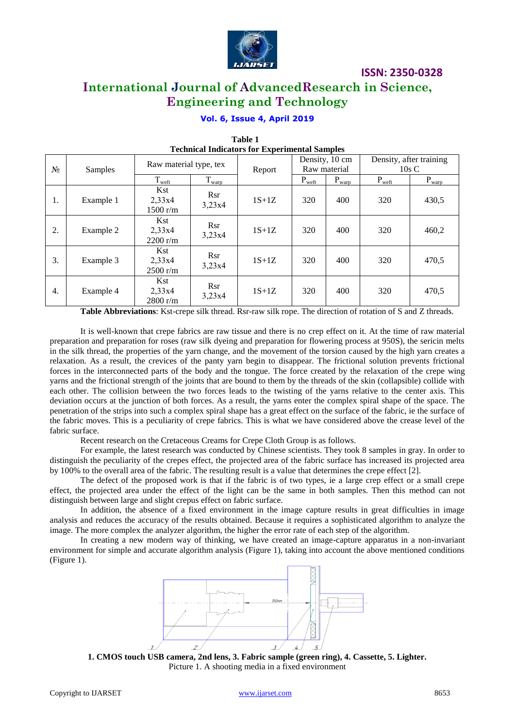

### **International Journal of AdvancedResearch in Science, Engineering and Technology**

### **Vol. 6, Issue 4, April 2019**

| <b>Technical Indicators for Experimental Samples</b> |           |                           |                      |         |                                |                        |                                 |                   |  |
|------------------------------------------------------|-----------|---------------------------|----------------------|---------|--------------------------------|------------------------|---------------------------------|-------------------|--|
| $N_2$                                                | Samples   | Raw material type, tex    |                      | Report  | Density, 10 cm<br>Raw material |                        | Density, after training<br>10sC |                   |  |
|                                                      |           | T <sub>weft</sub>         | $T_{\frac{warp}{}}$  |         | $P_{weft}$                     | $P_{\underline{warp}}$ | $P_{weft}$                      | $P_{\text{warp}}$ |  |
| 1.                                                   | Example 1 | Kst<br>2,33x4<br>1500 r/m | <b>Rsr</b><br>3,23x4 | $1S+1Z$ | 320                            | 400                    | 320                             | 430,5             |  |
| 2.                                                   | Example 2 | Kst<br>2,33x4<br>2200 r/m | <b>Rsr</b><br>3,23x4 | $1S+1Z$ | 320                            | 400                    | 320                             | 460,2             |  |
| 3.                                                   | Example 3 | Kst<br>2,33x4<br>2500 r/m | Rsr<br>3,23x4        | $1S+1Z$ | 320                            | 400                    | 320                             | 470,5             |  |
| 4.                                                   | Example 4 | Kst<br>2,33x4<br>2800 r/m | Rsr<br>3,23x4        | $1S+1Z$ | 320                            | 400                    | 320                             | 470,5             |  |

# *Table 1*

**Table Abbreviations**: Kst-crepe silk thread. Rsr-raw silk rope. The direction of rotation of S and Z threads.

It is well-known that crepe fabrics are raw tissue and there is no crep effect on it. At the time of raw material preparation and preparation for roses (raw silk dyeing and preparation for flowering process at 950S), the sericin melts in the silk thread, the properties of the yarn change, and the movement of the torsion caused by the high yarn creates a relaxation. As a result, the crevices of the panty yarn begin to disappear. The frictional solution prevents frictional forces in the interconnected parts of the body and the tongue. The force created by the relaxation of the crepe wing yarns and the frictional strength of the joints that are bound to them by the threads of the skin (collapsible) collide with each other. The collision between the two forces leads to the twisting of the yarns relative to the center axis. This deviation occurs at the junction of both forces. As a result, the yarns enter the complex spiral shape of the space. The penetration of the strips into such a complex spiral shape has a great effect on the surface of the fabric, ie the surface of the fabric moves. This is a peculiarity of crepe fabrics. This is what we have considered above the crease level of the fabric surface.

Recent research on the Cretaceous Creams for Crepe Cloth Group is as follows.

For example, the latest research was conducted by Chinese scientists. They took 8 samples in gray. In order to distinguish the peculiarity of the crepes effect, the projected area of the fabric surface has increased its projected area by 100% to the overall area of the fabric. The resulting result is a value that determines the crepe effect [2].

The defect of the proposed work is that if the fabric is of two types, ie a large crep effect or a small crepe effect, the projected area under the effect of the light can be the same in both samples. Then this method can not distinguish between large and slight crepus effect on fabric surface.

In addition, the absence of a fixed environment in the image capture results in great difficulties in image analysis and reduces the accuracy of the results obtained. Because it requires a sophisticated algorithm to analyze the image. The more complex the analyzer algorithm, the higher the error rate of each step of the algorithm.

In creating a new modern way of thinking, we have created an image-capture apparatus in a non-invariant environment for simple and accurate algorithm analysis (Figure 1), taking into account the above mentioned conditions (Figure 1).



**1. CMOS touch USB camera, 2nd lens, 3. Fabric sample (green ring), 4. Cassette, 5. Lighter.** Picture 1. A shooting media in a fixed environment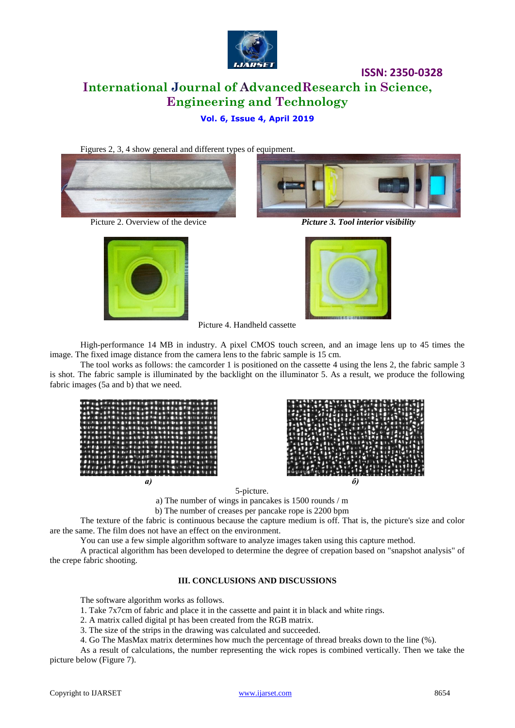

## **ISSN: 2350-0328 International Journal of AdvancedResearch in Science, Engineering and Technology**

### **Vol. 6, Issue 4, April 2019**







Picture 2. Overview of the device *Picture 3. Tool interior visibility*



Picture 4. Handheld cassette

High-performance 14 MB in industry. A pixel CMOS touch screen, and an image lens up to 45 times the image. The fixed image distance from the camera lens to the fabric sample is 15 cm.

The tool works as follows: the camcorder 1 is positioned on the cassette 4 using the lens 2, the fabric sample 3 is shot. The fabric sample is illuminated by the backlight on the illuminator 5. As a result, we produce the following fabric images (5a and b) that we need.





5-picture.

a) The number of wings in pancakes is 1500 rounds / m

b) The number of creases per pancake rope is 2200 bpm

The texture of the fabric is continuous because the capture medium is off. That is, the picture's size and color are the same. The film does not have an effect on the environment.

You can use a few simple algorithm software to analyze images taken using this capture method.

A practical algorithm has been developed to determine the degree of crepation based on "snapshot analysis" of the crepe fabric shooting.

#### **III. CONCLUSIONS AND DISCUSSIONS**

The software algorithm works as follows.

1. Take 7x7cm of fabric and place it in the cassette and paint it in black and white rings.

2. A matrix called digital pt has been created from the RGB matrix.

3. The size of the strips in the drawing was calculated and succeeded.

4. Go The MasMax matrix determines how much the percentage of thread breaks down to the line (%).

As a result of calculations, the number representing the wick ropes is combined vertically. Then we take the picture below (Figure 7).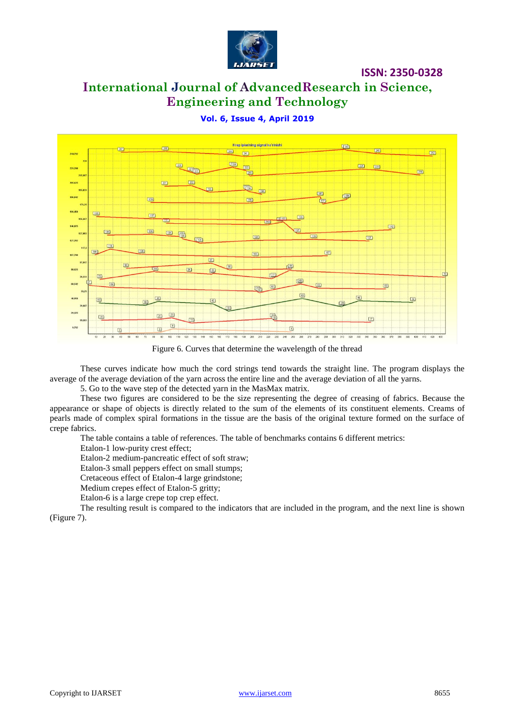

### **International Journal of AdvancedResearch in Science, Engineering and Technology**

### **Vol. 6, Issue 4, April 2019**



Figure 6. Curves that determine the wavelength of the thread

These curves indicate how much the cord strings tend towards the straight line. The program displays the average of the average deviation of the yarn across the entire line and the average deviation of all the yarns.

5. Go to the wave step of the detected yarn in the MasMax matrix.

These two figures are considered to be the size representing the degree of creasing of fabrics. Because the appearance or shape of objects is directly related to the sum of the elements of its constituent elements. Creams of pearls made of complex spiral formations in the tissue are the basis of the original texture formed on the surface of crepe fabrics.

The table contains a table of references. The table of benchmarks contains 6 different metrics:

Etalon-1 low-purity crest effect;

Etalon-2 medium-pancreatic effect of soft straw;

Etalon-3 small peppers effect on small stumps;

Cretaceous effect of Etalon-4 large grindstone;

Medium crepes effect of Etalon-5 gritty;

Etalon-6 is a large crepe top crep effect.

The resulting result is compared to the indicators that are included in the program, and the next line is shown (Figure 7).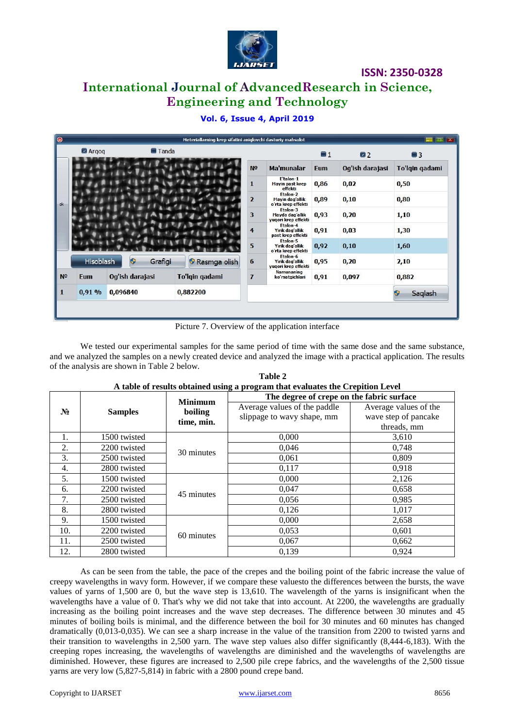

### **International Journal of AdvancedResearch in Science, Engineering and Technology**

### **Vol. 6, Issue 4, April 2019**

|                | Argog      | $\blacksquare$ Tanda |                |                                                    |                                                    | $\Box$ 1   | 2               | $\blacksquare$ 3 |
|----------------|------------|----------------------|----------------|----------------------------------------------------|----------------------------------------------------|------------|-----------------|------------------|
|                |            |                      |                | N <sub>0</sub>                                     | Ma'munalar                                         | <b>Eum</b> | Og'ish darajasi | To'lgin gadami   |
|                |            |                      |                | 1                                                  | E'talon-1<br><b>Mayin past krep</b><br>effekti     | 0,86       | 0,02            | 0,50             |
| ok             |            |                      | $\overline{2}$ | Etalon-2<br>Mayin dag'allik<br>o'rta krep effekti  | 0,89                                               | 0,10       | 0,80            |                  |
|                |            |                      | 3              | Etalon-3<br>Mayda dag'allik<br>yuqori krep effekti | 0,93                                               | 0,20       | 1,10            |                  |
|                |            |                      | 4              | Etalon-4<br>Yirik dag'allik<br>past krep effekti   | 0,91                                               | 0,03       | 1,30            |                  |
|                |            |                      |                | 5                                                  | Etalon-5<br>Yirik dag'allik<br>o'rta krep effekti  | 0,92       | 0,10            | 1,60             |
|                | Hisoblash  | $\bullet$<br>Grafigi | Rasmga olish   | 6                                                  | Etalon-6<br>Yirik dag'allik<br>yuqori krep effekti | 0,95       | 0,20            | 2,10             |
| N <sub>0</sub> | <b>Eum</b> | Og'ish darajasi      | To'lgin gadami | $\overline{I}$                                     | <b>Namunaning</b><br>ko'rsatgichlari               | 0,91       | 0,097           | 0,882            |
|                | 0,91%      | 0,096840             | 0,882200       |                                                    |                                                    |            |                 | Saqlash          |

Picture 7. Overview of the application interface

We tested our experimental samples for the same period of time with the same dose and the same substance, and we analyzed the samples on a newly created device and analyzed the image with a practical application. The results of the analysis are shown in Table 2 below.

|       | <b>Samples</b> | <b>Minimum</b> | I more of Festive common aging a program may evaluated the creptition flevel<br>The degree of crepe on the fabric surface |                       |  |  |
|-------|----------------|----------------|---------------------------------------------------------------------------------------------------------------------------|-----------------------|--|--|
| $N_2$ |                | boiling        | Average values of the paddle                                                                                              | Average values of the |  |  |
|       |                | time, min.     | slippage to wavy shape, mm                                                                                                | wave step of pancake  |  |  |
|       |                |                |                                                                                                                           | threads, mm           |  |  |
| 1.    | 1500 twisted   |                | 0,000                                                                                                                     | 3,610                 |  |  |
| 2.    | 2200 twisted   | 30 minutes     | 0,046                                                                                                                     | 0,748                 |  |  |
| 3.    | 2500 twisted   |                | 0,061                                                                                                                     | 0,809                 |  |  |
| 4.    | 2800 twisted   |                | 0,117                                                                                                                     | 0,918                 |  |  |
| 5.    | 1500 twisted   |                | 0,000                                                                                                                     | 2,126                 |  |  |
| 6.    | 2200 twisted   | 45 minutes     | 0,047                                                                                                                     | 0,658                 |  |  |
| 7.    | 2500 twisted   |                | 0,056                                                                                                                     | 0,985                 |  |  |
| 8.    | 2800 twisted   |                | 0,126                                                                                                                     | 1,017                 |  |  |
| 9.    | 1500 twisted   |                | 0,000                                                                                                                     | 2,658                 |  |  |
| 10.   | 2200 twisted   | 60 minutes     | 0,053                                                                                                                     | 0,601                 |  |  |
| 11.   | 2500 twisted   |                | 0,067                                                                                                                     | 0,662                 |  |  |
| 12.   | 2800 twisted   |                | 0,139                                                                                                                     | 0,924                 |  |  |

**Table 2 A table of results obtained using a program that evaluates the Crepition Level**

As can be seen from the table, the pace of the crepes and the boiling point of the fabric increase the value of creepy wavelengths in wavy form. However, if we compare these valuesto the differences between the bursts, the wave values of yarns of 1,500 are 0, but the wave step is 13,610. The wavelength of the yarns is insignificant when the wavelengths have a value of 0. That's why we did not take that into account. At 2200, the wavelengths are gradually increasing as the boiling point increases and the wave step decreases. The difference between 30 minutes and 45 minutes of boiling boils is minimal, and the difference between the boil for 30 minutes and 60 minutes has changed dramatically (0,013-0,035). We can see a sharp increase in the value of the transition from 2200 to twisted yarns and their transition to wavelengths in 2,500 yarn. The wave step values also differ significantly (8,444-6,183). With the creeping ropes increasing, the wavelengths of wavelengths are diminished and the wavelengths of wavelengths are diminished. However, these figures are increased to 2,500 pile crepe fabrics, and the wavelengths of the 2,500 tissue yarns are very low (5,827-5,814) in fabric with a 2800 pound crepe band.